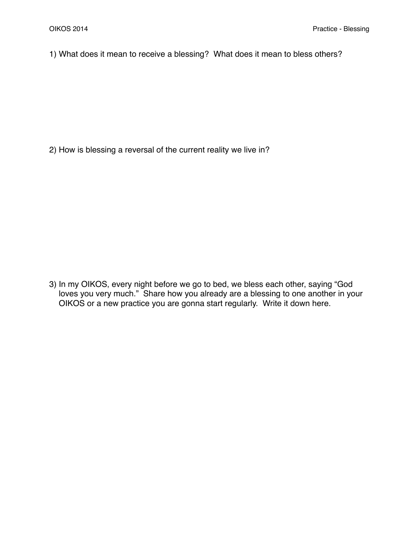1) What does it mean to receive a blessing? What does it mean to bless others?

2) How is blessing a reversal of the current reality we live in?

3) In my OIKOS, every night before we go to bed, we bless each other, saying "God loves you very much." Share how you already are a blessing to one another in your OIKOS or a new practice you are gonna start regularly. Write it down here.